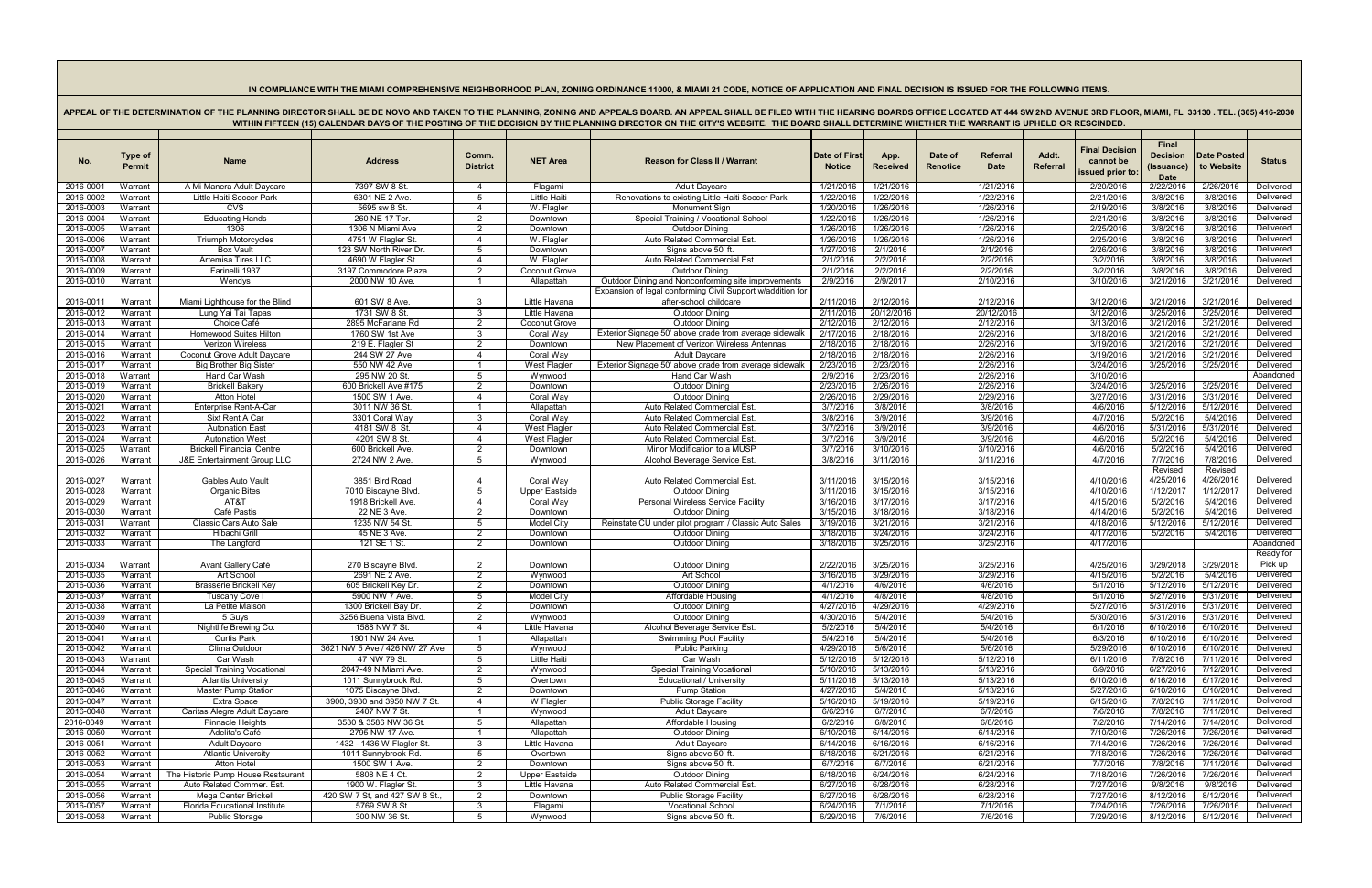## IN COMPLIANCE WITH THE MIAMI COMPREHENSIVE NEIGHBORHOOD PLAN, ZONING ORDINANCE 11000, & MIAMI 21 CODE, NOTICE OF APPLICATION AND FINAL DECISION IS ISSUED FOR THE FOLLOWING ITEMS.

APPEAL OF THE DETERMINATION OF THE PLANNING DIRECTOR SHALL BE DE NOVO AND TAKEN TO THE PLANNING, ZONING AND APPEALS BOARD. AN APPEAL SHALL BE FILED WITH THE HEARING BOARDS OFFICE LOCATED AT 444 SW 2ND AVENUE 3RD FLOOR, MIA WITHIN FIFTEEN (15) CALENDAR DAYS OF THE POSTING OF THE DECISION BY THE PLANNING DIRECTOR ON THE CITY'S WEBSITE. THE BOARD SHALL DETERMINE WHETHER THE WARRANT IS UPHELD OR RESCINDED.

| No.                    | <b>Type of</b><br><b>Permit</b> | <b>Name</b>                                                  | <b>Address</b>                             | Comm.<br><b>District</b>     | <b>NET Area</b>          | <b>Reason for Class II / Warrant</b>                                           | <b>Date of First</b><br><b>Notice</b> | App.<br><b>Received</b> | Date of<br>Renotice | Referral<br><b>Date</b> | Addt.<br>Referral | <b>Final Decision</b><br>cannot be<br>issued prior to | Final<br><b>Decision</b><br>(Issuance)<br><b>Date</b> | <b>Date Posted</b><br>to Website | <b>Status</b>          |
|------------------------|---------------------------------|--------------------------------------------------------------|--------------------------------------------|------------------------------|--------------------------|--------------------------------------------------------------------------------|---------------------------------------|-------------------------|---------------------|-------------------------|-------------------|-------------------------------------------------------|-------------------------------------------------------|----------------------------------|------------------------|
| 2016-0001              | Warrant                         | A Mi Manera Adult Daycare                                    | 7397 SW 8 St                               | - 4                          | Flagami                  | <b>Adult Daycare</b>                                                           | 1/21/2016                             | 1/21/2016               |                     | 1/21/2016               |                   | 2/20/2016                                             | 2/22/2016                                             | 2/26/2016                        | Delivered              |
| 2016-0002              | Warrant                         | Little Haiti Soccer Park                                     | 6301 NE 2 Ave.                             |                              | Little Haiti             | Renovations to existing Little Haiti Soccer Park                               | 1/22/2016                             | 1/22/2016               |                     | 1/22/2016               |                   | 2/21/2016                                             | 3/8/2016                                              | 3/8/2016                         | Delivered              |
| 2016-0003              | Warrant                         | <b>CVS</b>                                                   | 5695 sw 8 St.                              | -4                           | W. Flagler               | Monument Sign                                                                  | 1/20/2016                             | 1/26/2016               |                     | 1/26/2016               |                   | 2/19/2016                                             | 3/8/2016                                              | 3/8/2016                         | Delivered              |
| 2016-0004              | Warrant                         | <b>Educating Hands</b>                                       | 260 NE 17 Ter.                             | -2                           | Downtown                 | Special Training / Vocational School                                           | 1/22/2016                             | 1/26/2016               |                     | 1/26/2016               |                   | 2/21/2016                                             | 3/8/2016                                              | 3/8/2016                         | Delivered              |
| 2016-0005              | Warrant                         | 1306                                                         | 1306 N Miami Ave                           | 2                            | Downtown                 | <b>Outdoor Dining</b>                                                          | 1/26/2016                             | 1/26/2016               |                     | 1/26/2016               |                   | 2/25/2016                                             | 3/8/2016                                              | 3/8/2016                         | Delivered              |
| 2016-0006              | Warrant                         | <b>Triumph Motorcycles</b>                                   | 4751 W Flagler St.                         | $\overline{\mathcal{A}}$     | W. Flagler               | Auto Related Commercial Est.                                                   | 1/26/2016                             | 1/26/2016               |                     | 1/26/2016               |                   | 2/25/2016                                             | 3/8/2016                                              | 3/8/2016                         | Delivered              |
| 2016-0007              | Warrant                         | <b>Box Vault</b>                                             | 123 SW North River Dr.                     | .5                           | Downtown                 | Signs above 50' ft                                                             | 1/27/2016                             | 2/1/2016                |                     | 2/1/2016                |                   | 2/26/2016                                             | 3/8/2016                                              | 3/8/2016                         | Delivered              |
| 2016-0008              | Warrant                         | Artemisa Tires LLC                                           | 4690 W Flagler St.                         | $\overline{\mathcal{A}}$     | W. Flagler               | Auto Related Commercial Est.                                                   | 2/1/2016                              | 2/2/2016                |                     | 2/2/2016                |                   | 3/2/2016                                              | 3/8/2016                                              | 3/8/2016                         | Delivered              |
| 2016-0009              | Warrant                         | Farinelli 1937                                               | 3197 Commodore Plaza                       | 2                            | Coconut Grove            | <b>Outdoor Dining</b>                                                          | 2/1/2016                              | 2/2/2016                |                     | 2/2/2016                |                   | 3/2/2016                                              | 3/8/2016                                              | 3/8/2016                         | Delivered              |
| 2016-0010              | Warrant                         | Wendys                                                       | 2000 NW 10 Ave.                            |                              | Allapattah               | Outdoor Dining and Nonconforming site improvements                             | 2/9/2016                              | 2/9/2017                |                     | 2/10/2016               |                   | 3/10/2016                                             | 3/21/2016                                             | 3/21/2016                        | Delivered              |
|                        |                                 |                                                              |                                            |                              |                          | Expansion of legal conforming Civil Support w/addition for                     |                                       |                         |                     |                         |                   |                                                       |                                                       |                                  |                        |
| 2016-0011              | Warrant                         | Miami Lighthouse for the Blind                               | 601 SW 8 Ave.                              | -3                           | Little Havana            | after-school childcare                                                         | 2/11/2016                             | 2/12/2016               |                     | 2/12/2016               |                   | 3/12/2016                                             | 3/21/2016                                             | 3/21/2016                        | Delivered              |
| 2016-0012              | Warrant                         | Lung Yai Tai Tapas                                           | 1731 SW 8 St.                              | - 3                          | Little Havana            | <b>Outdoor Dining</b>                                                          | 2/11/2016                             | 20/12/2016              |                     | 20/12/2016              |                   | 3/12/2016                                             | 3/25/2016                                             | 3/25/2016                        | Delivered              |
| 2016-0013              | Warrant                         | Choice Café                                                  | 2895 McFarlane Rd                          | 2                            | <b>Coconut Grove</b>     | <b>Outdoor Dining</b>                                                          | 2/12/2016                             | 2/12/2016               |                     | 2/12/2016               |                   | 3/13/2016                                             | 3/21/2016                                             | 3/21/2016                        | Delivered              |
| 2016-0014              | Warrant                         | <b>Homewood Suites Hilton</b>                                | 1760 SW 1st Ave                            | -3                           | Coral Way                | Exterior Signage 50' above grade from average sidewalk                         | 2/17/2016                             | 2/18/2016               |                     | 2/26/2016               |                   | 3/18/2016                                             | 3/21/2016                                             | 3/21/2016                        | Delivered<br>Delivered |
| 2016-0015              | Warrant                         | Verizon Wireless                                             | 219 E. Flagler St                          | -2<br>$\boldsymbol{\Lambda}$ | Downtown                 | New Placement of Verizon Wireless Antennas                                     | 2/18/2016                             | 2/18/2016               |                     | 2/26/2016               |                   | 3/19/2016                                             | 3/21/2016                                             | 3/21/2016                        | Delivered              |
| 2016-0016<br>2016-001  | Warrant<br>Warrant              | Coconut Grove Adult Daycare<br><b>Big Brother Big Sister</b> | 244 SW 27 Ave<br>550 NW 42 Ave             |                              | Coral Way<br>West Flagle | <b>Adult Daycare</b><br>Exterior Signage 50' above grade from average sidewalk | 2/18/2016<br>2/23/2016                | 2/18/2016<br>2/23/2016  |                     | 2/26/2016<br>2/26/2016  |                   | 3/19/2016<br>3/24/2016                                | 3/21/2016<br>3/25/2016                                | 3/21/2016<br>3/25/2016           | Delivered              |
| 2016-0018              | Warrant                         | Hand Car Wash                                                | 295 NW 20 St.                              | -5                           | Wynwood                  | Hand Car Wash                                                                  | 2/9/2016                              | 2/23/2016               |                     | 2/26/2016               |                   | 3/10/2016                                             |                                                       |                                  | Abandoned              |
| 2016-0019              | Warrant                         | Brickell Bakery                                              | 600 Brickell Ave #175                      |                              | Downtown                 | <b>Outdoor Dininc</b>                                                          | 2/23/2016                             | 2/26/2016               |                     | 2/26/2016               |                   | 3/24/2016                                             | 3/25/2016                                             | 3/25/2016                        | Delivered              |
| 2016-0020              | Warrant                         | <b>Atton Hotel</b>                                           | 1500 SW 1 Ave.                             | $\boldsymbol{\Delta}$        | Coral Way                | <b>Outdoor Dining</b>                                                          | 2/26/2016                             | 2/29/2016               |                     | 2/29/2016               |                   | 3/27/2016                                             | 3/31/2016                                             | 3/31/2016                        | Delivered              |
| 2016-0021              | Warrant                         | Enterprise Rent-A-Car                                        | 3011 NW 36 St.                             |                              | Allapattah               | Auto Related Commercial Est.                                                   | 3/7/2016                              | 3/8/2016                |                     | 3/8/2016                |                   | 4/6/2016                                              | 5/12/2016                                             | 5/12/2016                        | Delivered              |
| 2016-0022              | Warrant                         | Sixt Rent A Car                                              | 3301 Coral Way                             |                              | Coral Way                | Auto Related Commercial Est.                                                   | 3/8/2016                              | 3/9/2016                |                     | 3/9/2016                |                   | 4/7/2016                                              | 5/2/2016                                              | 5/4/2016                         | Delivered              |
| 2016-0023              | Warrant                         | <b>Autonation East</b>                                       | 4181 SW 8 St.                              | -4                           | <b>West Flagler</b>      | Auto Related Commercial Est                                                    | 3/7/2016                              | 3/9/2016                |                     | 3/9/2016                |                   | 4/6/2016                                              | 5/31/2016                                             | 5/31/2016                        | Delivered              |
| 2016-0024              | Warrant                         | <b>Autonation West</b>                                       | 4201 SW 8 St.                              | -4                           | West Flagler             | Auto Related Commercial Est                                                    | 3/7/2016                              | 3/9/2016                |                     | 3/9/2016                |                   | 4/6/2016                                              | 5/2/2016                                              | 5/4/2016                         | Delivered              |
| 2016-0025              | Warrant                         | <b>Brickell Financial Centre</b>                             | 600 Brickell Ave.                          | 2                            | Downtown                 | Minor Modification to a MUSP                                                   | 3/7/2016                              | 3/10/2016               |                     | 3/10/2016               |                   | 4/6/2016                                              | 5/2/2016                                              | 5/4/2016                         | Delivered              |
| 2016-0026              | Warrant                         | <b>J&amp;E Entertainment Group LLC</b>                       | 2724 NW 2 Ave                              | -5                           | Wynwood                  | Alcohol Beverage Service Est                                                   | 3/8/2016                              | 3/11/2016               |                     | 3/11/2016               |                   | 4/7/2016                                              | 7/7/2016                                              | 7/8/2016                         | Delivered              |
|                        |                                 |                                                              |                                            |                              |                          |                                                                                |                                       |                         |                     |                         |                   |                                                       | Revised                                               | Revised                          |                        |
| 2016-0027              | Warrant                         | Gables Auto Vault                                            | 3851 Bird Road                             |                              | Coral Way                | Auto Related Commercial Est.                                                   | 3/11/2016                             | 3/15/2016               |                     | 3/15/2016               |                   | 4/10/2016                                             | 4/25/2016                                             | 4/26/2016                        | Delivered              |
| 2016-0028              | Warrant                         | <b>Organic Bites</b>                                         | 7010 Biscayne Blvd.                        | -5                           | <b>Upper Eastside</b>    | <b>Outdoor Dining</b>                                                          | 3/11/2016                             | 3/15/2016               |                     | 3/15/2016               |                   | 4/10/2016                                             | 1/12/2017                                             | 1/12/2017                        | Delivered              |
| 2016-0029              | Warrant                         | AT&T                                                         | 1918 Brickell Ave.                         | -4                           | Coral Way                | Personal Wireless Service Facility                                             | 3/16/2016                             | 3/17/2016               |                     | 3/17/2016               |                   | 4/15/2016                                             | 5/2/2016                                              | 5/4/2016                         | Delivered              |
| 2016-0030              | Warrant                         | Café Pastis                                                  | 22 NE 3 Ave.                               | 2                            | Downtown                 | <b>Outdoor Dining</b>                                                          | 3/15/2016                             | 3/18/2016               |                     | 3/18/2016               |                   | 4/14/2016                                             | 5/2/2016                                              | 5/4/2016                         | Delivered              |
| 2016-0031              | Warrant                         | Classic Cars Auto Sale                                       | 1235 NW 54 St.                             | -5                           | <b>Model City</b>        | Reinstate CU under pilot program / Classic Auto Sales                          | 3/19/2016                             | 3/21/2016               |                     | 3/21/2016               |                   | 4/18/2016                                             | 5/12/2016                                             | 5/12/2016                        | Delivered              |
| 2016-0032              | Warrant                         | Hibachi Grill                                                | 45 NE 3 Ave.                               | -2                           | Downtown                 | <b>Outdoor Dining</b>                                                          | 3/18/2016                             | 3/24/2016               |                     | 3/24/2016               |                   | 4/17/2016                                             | 5/2/2016                                              | 5/4/2016                         | Delivered              |
| 2016-0033              | Warrant                         | The Langford                                                 | 121 SE 1 St                                | -2                           | Downtown                 | <b>Outdoor Dining</b>                                                          | 3/18/2016                             | 3/25/2016               |                     | 3/25/2016               |                   | 4/17/2016                                             |                                                       |                                  | Abandoned              |
|                        |                                 |                                                              |                                            |                              |                          |                                                                                |                                       |                         |                     |                         |                   |                                                       |                                                       |                                  | Ready for              |
| 2016-0034              | Warrant                         | Avant Gallery Café                                           | 270 Biscayne Blvd.                         | $\overline{2}$               | Downtown                 | <b>Outdoor Dininc</b>                                                          | 2/22/2016                             | 3/25/2016               |                     | 3/25/2016               |                   | 4/25/2016                                             | 3/29/2018                                             | 3/29/2018                        | Pick up                |
| 2016-0035              | Warrant                         | Art School                                                   | 2691 NE 2 Ave.                             | 2                            | Wynwood                  | Art School                                                                     | 3/16/2016                             | 3/29/2016               |                     | 3/29/2016               |                   | 4/15/2016                                             | 5/2/2016                                              | 5/4/2016                         | Delivered              |
| 2016-0036              | Warrant                         | <b>Brasserie Brickell Key</b>                                | 605 Brickell Key Dr.                       | $\mathcal{P}$                | Downtown                 | <b>Outdoor Dining</b>                                                          | 4/1/2016                              | 4/6/2016                |                     | 4/6/2016                |                   | 5/1/2016                                              | 5/12/2016                                             | 5/12/2016                        | Delivered              |
| 2016-0037              | Warrant                         | Tuscany Cove I                                               | 5900 NW 7 Ave.                             | -5                           | <b>Model City</b>        | Affordable Housing                                                             | 4/1/2016                              | 4/8/2016                |                     | 4/8/2016                |                   | 5/1/2016                                              | 5/27/2016                                             | 5/31/2016                        | Delivered              |
| 2016-0038              | Warrant                         | La Petite Maison                                             | 1300 Brickell Bay Dr                       |                              | Downtown                 | <b>Outdoor Dining</b>                                                          | 4/27/2016                             | 4/29/2016               |                     | 4/29/2016               |                   | 5/27/2016                                             | 5/31/2016                                             | 5/31/2016                        | Delivered              |
| 2016-0039              | Warrant                         | 5 Guys                                                       | 3256 Buena Vista Blvd                      | 2                            | Wynwood                  | <b>Outdoor Dining</b>                                                          | 4/30/2016                             | 5/4/2016                |                     | 5/4/2016                |                   | 5/30/2016                                             | 5/31/2016                                             | 5/31/2016                        | Delivered              |
| 2016-0040              | Warrant                         | Nightlife Brewing Co.                                        | 1588 NW 7 St.                              |                              | Little Havana            | Alcohol Beverage Service Est                                                   | 5/2/2016                              | 5/4/2016                |                     | 5/4/2016                |                   | 6/1/2016                                              | 6/10/2016                                             | 6/10/2016                        | Delivered              |
| 2016-0041              | Warrant                         | <b>Curtis Park</b>                                           | 1901 NW 24 Ave.                            |                              | Allapattah               | <b>Swimming Pool Facility</b>                                                  | 5/4/2016                              | 5/4/2016                |                     | 5/4/2016                |                   | 6/3/2016                                              | 6/10/2016                                             | 6/10/2016                        | Delivered              |
| 2016-0042              | Warrant                         | Clima Outdoor                                                | 3621 NW 5 Ave / 426 NW 27 Ave              | - 5                          | Wynwood                  | <b>Public Parking</b>                                                          | 4/29/2016                             | 5/6/2016                |                     | 5/6/2016                |                   | 5/29/2016                                             | 6/10/2016                                             | 6/10/2016                        | Delivered              |
| 2016-0043              | Warrant                         | Car Wash                                                     | 47 NW 79 St.                               | -5                           | Little Haiti             | Car Wash                                                                       | 5/12/2016                             | 5/12/2016               |                     | 5/12/2016               |                   | 6/11/2016                                             | 7/8/2016                                              | 7/11/2016                        | Delivered              |
| 2016-0044              | Warrant                         | <b>Special Training Vocational</b>                           | 2047-49 N Miami Ave.                       | 2                            | Wynwood                  | <b>Special Training Vocational</b>                                             | 5/10/2016                             | 5/13/2016               |                     | 5/13/2016               |                   | 6/9/2016                                              | 6/27/2016                                             | 7/12/2016                        | Delivered              |
| 2016-0045<br>2016-0046 | Warrant<br>Warrant              | <b>Atlantis University</b><br><b>Master Pump Station</b>     | 1011 Sunnybrook Rd.<br>1075 Biscayne Blvd. | 5<br>$\overline{2}$          | Overtown<br>Downtown     | Educational / University<br><b>Pump Station</b>                                | 5/11/2016<br>4/27/2016                | 5/13/2016<br>5/4/2016   |                     | 5/13/2016<br>5/13/2016  |                   | 6/10/2016<br>5/27/2016                                | 6/16/2016<br>6/10/2016                                | 6/17/2016<br>6/10/2016           | Delivered<br>Delivered |
| 2016-0047              | Warrant                         | Extra Space                                                  | 3900, 3930 and 3950 NW 7 St.               | $\boldsymbol{\Delta}$        | W Flagler                | <b>Public Storage Facility</b>                                                 | 5/16/2016                             | 5/19/2016               |                     | 5/19/2016               |                   | 6/15/2016                                             | 7/8/2016                                              | 7/11/2016                        | Delivered              |
| 2016-0048              | Warrant                         | Caritas Alegre Adult Daycare                                 | 2407 NW 7 St.                              |                              | Wynwood                  | <b>Adult Daycare</b>                                                           | 6/6/2016                              | 6/7/2016                |                     | 6/7/2016                |                   | 7/6/2016                                              | 7/8/2016                                              | 7/11/2016                        | Delivered              |
| 2016-0049              | Warrant                         | <b>Pinnacle Heights</b>                                      | 3530 & 3586 NW 36 St.                      | 5                            | Allapattah               | Affordable Housing                                                             | 6/2/2016                              | 6/8/2016                |                     | 6/8/2016                |                   | 7/2/2016                                              | 7/14/2016                                             | 7/14/2016                        | Delivered              |
| 2016-0050              | Warrant                         | Adelita's Café                                               | 2795 NW 17 Ave.                            |                              | Allapattah               | <b>Outdoor Dining</b>                                                          | 6/10/2016                             | 6/14/2016               |                     | 6/14/2016               |                   | 7/10/2016                                             | 7/26/2016                                             | 7/26/2016                        | Delivered              |
| 2016-0051              | Warrant                         | <b>Adult Daycare</b>                                         | 1432 - 1436 W Flagler St.                  | - 3                          | Little Havana            | <b>Adult Daycare</b>                                                           | 6/14/2016                             | 6/16/2016               |                     | 6/16/2016               |                   | 7/14/2016                                             | 7/26/2016                                             | 7/26/2016                        | Delivered              |
| 2016-0052              | Warrant                         | <b>Atlantis University</b>                                   | 1011 Sunnybrook Rd.                        | -5                           | Overtown                 | Signs above 50' ft.                                                            | 6/18/2016                             | 6/21/2016               |                     | 6/21/2016               |                   | 7/18/2016                                             | 7/26/2016                                             | 7/26/2016                        | Delivered              |
| 2016-0053              | Warrant                         | <b>Atton Hotel</b>                                           | 1500 SW 1 Ave.                             | $\overline{2}$               | Downtown                 | Signs above 50' ft.                                                            | 6/7/2016                              | 6/7/2016                |                     | 6/21/2016               |                   | 7/7/2016                                              | 7/8/2016                                              | 7/11/2016                        | Delivered              |
| 2016-0054              | Warrant                         | The Historic Pump House Restaurant                           | 5808 NE 4 Ct.                              | -2                           | <b>Upper Eastside</b>    | <b>Outdoor Dining</b>                                                          | 6/18/2016                             | 6/24/2016               |                     | 6/24/2016               |                   | 7/18/2016                                             | 7/26/2016                                             | 7/26/2016                        | Delivered              |
| 2016-0055              | Warrant                         | Auto Related Commer. Est                                     | 1900 W. Flagler St.                        | - 3                          | Little Havana            | Auto Related Commercial Est.                                                   | 6/27/2016                             | 6/28/2016               |                     | 6/28/2016               |                   | 7/27/2016                                             | 9/8/2016                                              | 9/8/2016                         | Delivered              |
| 2016-0056              | Warrant                         | Mega Center Brickell                                         | 420 SW 7 St, and 427 SW 8 St.              |                              | Downtown                 | <b>Public Storage Facility</b>                                                 | 6/27/2016                             | 6/28/2016               |                     | 6/28/2016               |                   | 7/27/2016                                             | 8/12/2016                                             | 8/12/2016                        | Delivered              |
| 2016-0057              | Warrant                         | <b>Florida Educational Institute</b>                         | 5769 SW 8 St.                              | -3                           | Flagami                  | <b>Vocational School</b>                                                       | 6/24/2016                             | 7/1/2016                |                     | 7/1/2016                |                   | 7/24/2016                                             | 7/26/2016                                             | 7/26/2016                        | Delivered              |
| 2016-0058              | Warrant                         | <b>Public Storage</b>                                        | 300 NW 36 St.                              | -5                           | Wynwood                  | Signs above 50' ft.                                                            | 6/29/2016                             | 7/6/2016                |                     | 7/6/2016                |                   | 7/29/2016                                             | 8/12/2016                                             | 8/12/2016                        | Delivered              |